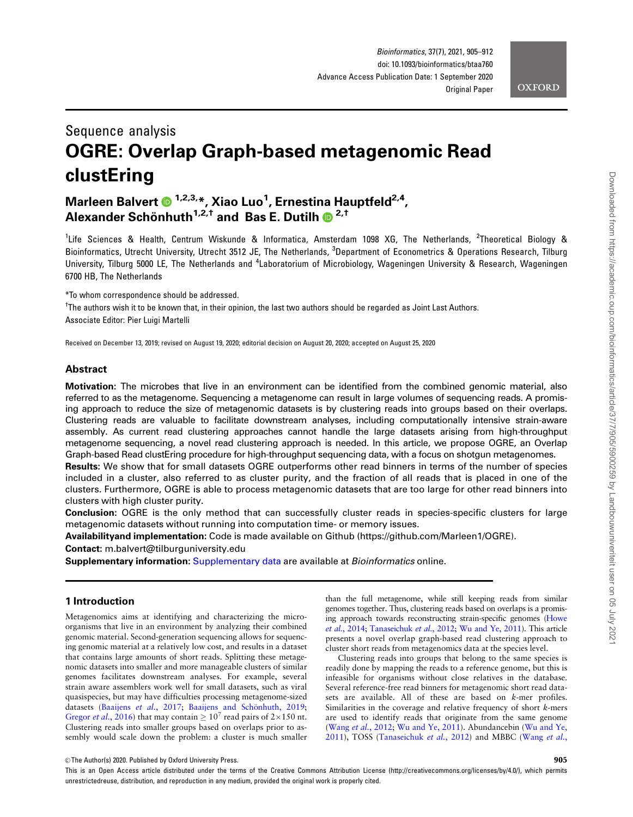

# Sequence analysis OGRE: Overlap Graph-based metagenomic Read clustEring

# Marleen Balvert ® <sup>1,2,3,</sup>\*, Xiao Luo<sup>1</sup>, Ernestina Hauptfeld<sup>2,4</sup>, Alexander Schönhuth<sup>1,2,†</sup> and Bas E. Dutilh  $\bullet$ <sup>2,†</sup>

<sup>1</sup>Life Sciences & Health, Centrum Wiskunde & Informatica, Amsterdam 1098 XG, The Netherlands, <sup>2</sup>Theoretical Biology & Bioinformatics, Utrecht University, Utrecht 3512 JE, The Netherlands, <sup>3</sup>Department of Econometrics & Operations Research, Tilburg University, Tilburg 5000 LE, The Netherlands and <sup>4</sup>Laboratorium of Microbiology, Wageningen University & Research, Wageningen 6700 HB, The Netherlands

\*To whom correspondence should be addressed.

† The authors wish it to be known that, in their opinion, the last two authors should be regarded as Joint Last Authors. Associate Editor: Pier Luigi Martelli

Received on December 13, 2019; revised on August 19, 2020; editorial decision on August 20, 2020; accepted on August 25, 2020

### Abstract

Motivation: The microbes that live in an environment can be identified from the combined genomic material, also referred to as the metagenome. Sequencing a metagenome can result in large volumes of sequencing reads. A promising approach to reduce the size of metagenomic datasets is by clustering reads into groups based on their overlaps. Clustering reads are valuable to facilitate downstream analyses, including computationally intensive strain-aware assembly. As current read clustering approaches cannot handle the large datasets arising from high-throughput metagenome sequencing, a novel read clustering approach is needed. In this article, we propose OGRE, an Overlap Graph-based Read clustEring procedure for high-throughput sequencing data, with a focus on shotgun metagenomes.

Results: We show that for small datasets OGRE outperforms other read binners in terms of the number of species included in a cluster, also referred to as cluster purity, and the fraction of all reads that is placed in one of the clusters. Furthermore, OGRE is able to process metagenomic datasets that are too large for other read binners into clusters with high cluster purity.

Conclusion: OGRE is the only method that can successfully cluster reads in species-specific clusters for large metagenomic datasets without running into computation time- or memory issues.

Availabilityand implementation: Code is made available on Github [\(https://github.com/Marleen1/OGRE](https://github.com/Marleen1/OGRE)).

Contact: m.balvert@tilburguniversity.edu

Supplementary information: [Supplementary data](https://academic.oup.com/bioinformatics/article-lookup/doi/10.1093/bioinformatics/btaa760#supplementary-data) are available at Bioinformatics online.

# 1 Introduction

Metagenomics aims at identifying and characterizing the microorganisms that live in an environment by analyzing their combined genomic material. Second-generation sequencing allows for sequencing genomic material at a relatively low cost, and results in a dataset that contains large amounts of short reads. Splitting these metagenomic datasets into smaller and more manageable clusters of similar genomes facilitates downstream analyses. For example, several strain aware assemblers work well for small datasets, such as viral quasispecies, but may have difficulties processing metagenome-sized datasets [\(Baaijens](#page-7-0) et al., 2017; Baaijens and Schönhuth, 2019; [Gregor](#page-7-0) *et al.*, 2016) that may contain  $\geq 10^7$  read pairs of 2×150 nt. Clustering reads into smaller groups based on overlaps prior to assembly would scale down the problem: a cluster is much smaller

than the full metagenome, while still keeping reads from similar genomes together. Thus, clustering reads based on overlaps is a promising approach towards reconstructing strain-specific genomes [\(Howe](#page-7-0) et al.[, 2014](#page-7-0); [Tanaseichuk](#page-7-0) et al., 2012; [Wu and Ye, 2011\)](#page-7-0). This article presents a novel overlap graph-based read clustering approach to cluster short reads from metagenomics data at the species level.

Clustering reads into groups that belong to the same species is readily done by mapping the reads to a reference genome, but this is infeasible for organisms without close relatives in the database. Several reference-free read binners for metagenomic short read datasets are available. All of these are based on k-mer profiles. Similarities in the coverage and relative frequency of short k-mers are used to identify reads that originate from the same genome (Wang et al.[, 2012;](#page-7-0) [Wu and Ye, 2011\)](#page-7-0). Abundancebin ([Wu and Ye,](#page-7-0) [2011\)](#page-7-0), TOSS ([Tanaseichuk](#page-7-0) et al., 2012) and MBBC [\(Wang](#page-7-0) et al.,

 $\heartsuit$  The Author(s) 2020. Published by Oxford University Press. 905

This is an Open Access article distributed under the terms of the Creative Commons Attribution License (http://creativecommons.org/licenses/by/4.0/), which permits unrestrictedreuse, distribution, and reproduction in any medium, provided the original work is properly cited.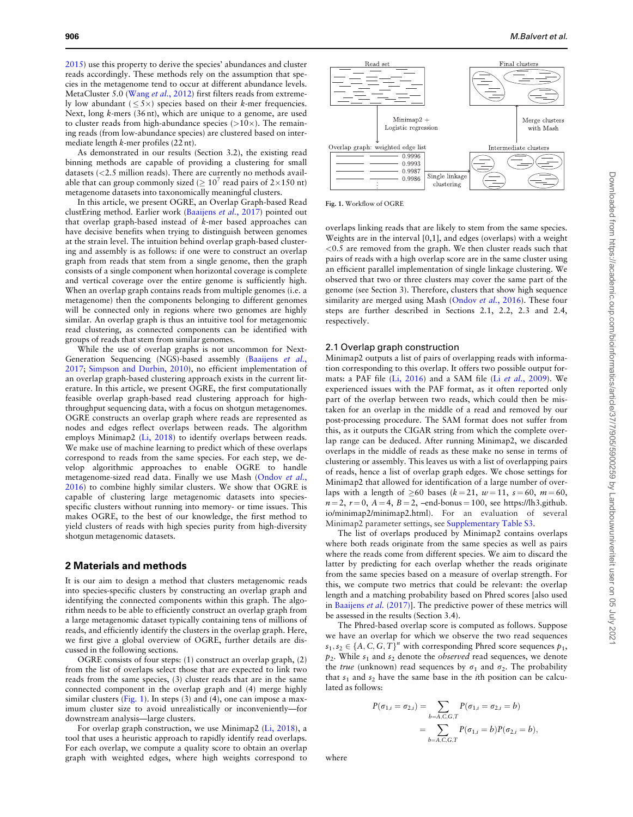<span id="page-1-0"></span>[2015\)](#page-7-0) use this property to derive the species' abundances and cluster reads accordingly. These methods rely on the assumption that species in the metagenome tend to occur at different abundance levels. MetaCluster 5.0 (Wang et al.[, 2012](#page-7-0)) first filters reads from extremely low abundant  $(< 5 \times$ ) species based on their k-mer frequencies. Next, long  $k$ -mers (36 nt), which are unique to a genome, are used to cluster reads from high-abundance species  $(>10\times)$ . The remaining reads (from low-abundance species) are clustered based on intermediate length k-mer profiles (22 nt).

As demonstrated in our results (Section 3.2), the existing read binning methods are capable of providing a clustering for small datasets (<2.5 million reads). There are currently no methods available that can group commonly sized ( $\geq 10^7$  read pairs of 2×150 nt) metagenome datasets into taxonomically meaningful clusters.

In this article, we present OGRE, an Overlap Graph-based Read clustEring method. Earlier work ([Baaijens](#page-7-0) et al., 2017) pointed out that overlap graph-based instead of k-mer based approaches can have decisive benefits when trying to distinguish between genomes at the strain level. The intuition behind overlap graph-based clustering and assembly is as follows: if one were to construct an overlap graph from reads that stem from a single genome, then the graph consists of a single component when horizontal coverage is complete and vertical coverage over the entire genome is sufficiently high. When an overlap graph contains reads from multiple genomes (i.e. a metagenome) then the components belonging to different genomes will be connected only in regions where two genomes are highly similar. An overlap graph is thus an intuitive tool for metagenomic read clustering, as connected components can be identified with groups of reads that stem from similar genomes.

While the use of overlap graphs is not uncommon for Next-Generation Sequencing (NGS)-based assembly ([Baaijens](#page-7-0) et al., [2017;](#page-7-0) [Simpson and Durbin, 2010](#page-7-0)), no efficient implementation of an overlap graph-based clustering approach exists in the current literature. In this article, we present OGRE, the first computationally feasible overlap graph-based read clustering approach for highthroughput sequencing data, with a focus on shotgun metagenomes. OGRE constructs an overlap graph where reads are represented as nodes and edges reflect overlaps between reads. The algorithm employs Minimap2 [\(Li, 2018](#page-7-0)) to identify overlaps between reads. We make use of machine learning to predict which of these overlaps correspond to reads from the same species. For each step, we develop algorithmic approaches to enable OGRE to handle metagenome-sized read data. Finally we use Mash [\(Ondov](#page-7-0) et al., [2016\)](#page-7-0) to combine highly similar clusters. We show that OGRE is capable of clustering large metagenomic datasets into speciesspecific clusters without running into memory- or time issues. This makes OGRE, to the best of our knowledge, the first method to yield clusters of reads with high species purity from high-diversity shotgun metagenomic datasets.

#### 2 Materials and methods

It is our aim to design a method that clusters metagenomic reads into species-specific clusters by constructing an overlap graph and identifying the connected components within this graph. The algorithm needs to be able to efficiently construct an overlap graph from a large metagenomic dataset typically containing tens of millions of reads, and efficiently identify the clusters in the overlap graph. Here, we first give a global overview of OGRE, further details are discussed in the following sections.

OGRE consists of four steps: (1) construct an overlap graph, (2) from the list of overlaps select those that are expected to link two reads from the same species, (3) cluster reads that are in the same connected component in the overlap graph and (4) merge highly similar clusters (Fig. 1). In steps (3) and (4), one can impose a maximum cluster size to avoid unrealistically or inconveniently—for downstream analysis—large clusters.

For overlap graph construction, we use Minimap2 ([Li, 2018\)](#page-7-0), a tool that uses a heuristic approach to rapidly identify read overlaps. For each overlap, we compute a quality score to obtain an overlap graph with weighted edges, where high weights correspond to



Fig. 1. Workflow of OGRE

overlaps linking reads that are likely to stem from the same species. Weights are in the interval [0,1], and edges (overlaps) with a weight <0.5 are removed from the graph. We then cluster reads such that pairs of reads with a high overlap score are in the same cluster using an efficient parallel implementation of single linkage clustering. We observed that two or three clusters may cover the same part of the genome (see Section 3). Therefore, clusters that show high sequence similarity are merged using Mash [\(Ondov](#page-7-0) et al., 2016). These four steps are further described in Sections 2.1, 2.2, 2.3 and 2.4, respectively.

#### 2.1 Overlap graph construction

Minimap2 outputs a list of pairs of overlapping reads with information corresponding to this overlap. It offers two possible output formats: a PAF file [\(Li, 2016\)](#page-7-0) and a SAM file (Li et al.[, 2009](#page-7-0)). We experienced issues with the PAF format, as it often reported only part of the overlap between two reads, which could then be mistaken for an overlap in the middle of a read and removed by our post-processing procedure. The SAM format does not suffer from this, as it outputs the CIGAR string from which the complete overlap range can be deduced. After running Minimap2, we discarded overlaps in the middle of reads as these make no sense in terms of clustering or assembly. This leaves us with a list of overlapping pairs of reads, hence a list of overlap graph edges. We chose settings for Minimap2 that allowed for identification of a large number of overlaps with a length of  $\geq 60$  bases (k = 21, w = 11, s = 60, m = 60,  $n = 2$ ,  $r = 0$ ,  $A = 4$ ,  $B = 2$ ,  $-end-bonus = 100$ , see [https://lh3.github.](https://lh3.github.io/minimap2/minimap2.html) [io/minimap2/minimap2.html](https://lh3.github.io/minimap2/minimap2.html)). For an evaluation of several Minimap2 parameter settings, see [Supplementary Table S3.](https://academic.oup.com/bioinformatics/article-lookup/doi/10.1093/bioinformatics/btaa760#supplementary-data)

The list of overlaps produced by Minimap2 contains overlaps where both reads originate from the same species as well as pairs where the reads come from different species. We aim to discard the latter by predicting for each overlap whether the reads originate from the same species based on a measure of overlap strength. For this, we compute two metrics that could be relevant: the overlap length and a matching probability based on Phred scores [also used in [Baaijens](#page-7-0) et al. (2017)]. The predictive power of these metrics will be assessed in the results (Section 3.4).

The Phred-based overlap score is computed as follows. Suppose we have an overlap for which we observe the two read sequences  $s_1, s_2 \in \{A, C, G, T\}^n$  with corresponding Phred score sequences  $p_1$ ,  $p_2$ . While  $s_1$  and  $s_2$  denote the *observed* read sequences, we denote the *true* (unknown) read sequences by  $\sigma_1$  and  $\sigma_2$ . The probability that  $s_1$  and  $s_2$  have the same base in the *i*th position can be calculated as follows:

$$
P(\sigma_{1,i} = \sigma_{2,i}) = \sum_{b=A,C,G,T} P(\sigma_{1,i} = \sigma_{2,i} = b)
$$
  
= 
$$
\sum_{b=A,C,G,T} P(\sigma_{1,i} = b)P(\sigma_{2,i} = b),
$$

where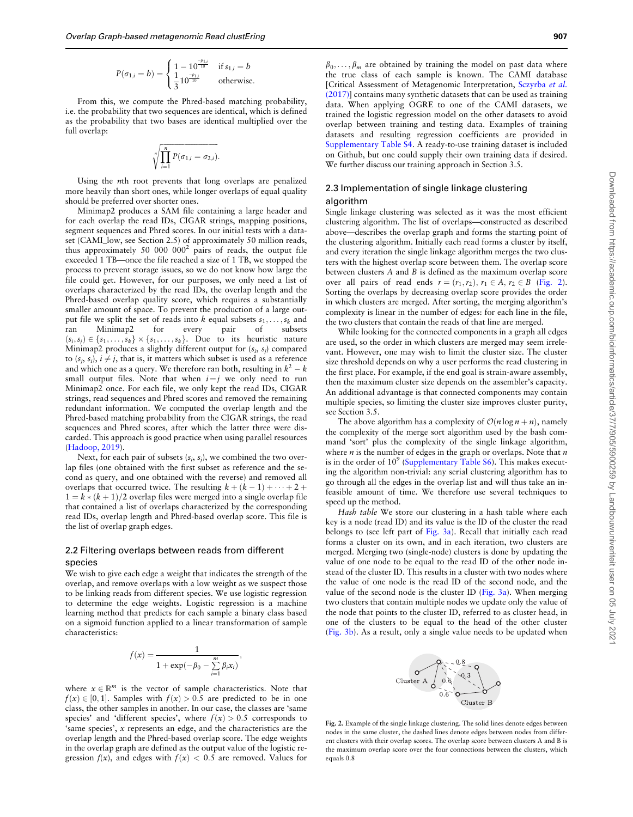$$
P(\sigma_{1,i} = b) = \begin{cases} 1 - 10^{\frac{-p_{1,i}}{10}} & \text{if } s_{1,i} = b \\ \frac{1}{3} 10^{\frac{-p_{1,i}}{10}} & \text{otherwise.} \end{cases}
$$

From this, we compute the Phred-based matching probability, i.e. the probability that two sequences are identical, which is defined as the probability that two bases are identical multiplied over the full overlap:

$$
\sqrt[n]{\prod_{i=1}^n P(\sigma_{1,i}=\sigma_{2,i})}.
$$

Using the nth root prevents that long overlaps are penalized more heavily than short ones, while longer overlaps of equal quality should be preferred over shorter ones.

Minimap2 produces a SAM file containing a large header and for each overlap the read IDs, CIGAR strings, mapping positions, segment sequences and Phred scores. In our initial tests with a dataset (CAMI\_low, see Section 2.5) of approximately 50 million reads, thus approximately 50 000  $000<sup>2</sup>$  pairs of reads, the output file exceeded 1 TB—once the file reached a size of 1 TB, we stopped the process to prevent storage issues, so we do not know how large the file could get. However, for our purposes, we only need a list of overlaps characterized by the read IDs, the overlap length and the Phred-based overlap quality score, which requires a substantially smaller amount of space. To prevent the production of a large output file we split the set of reads into k equal subsets  $s_1, \ldots, s_k$  and ran Minimap2 for every pair of subsets  $(s_i, s_j) \in \{s_1, \ldots, s_k\} \times \{s_1, \ldots, s_k\}.$  Due to its heuristic nature Minimap2 produces a slightly different output for  $(s_i, s_j)$  compared to  $(s_i, s_i)$ ,  $i \neq j$ , that is, it matters which subset is used as a reference and which one as a query. We therefore ran both, resulting in  $k^2 - k$ small output files. Note that when  $i = j$  we only need to run Minimap2 once. For each file, we only kept the read IDs, CIGAR strings, read sequences and Phred scores and removed the remaining redundant information. We computed the overlap length and the Phred-based matching probability from the CIGAR strings, the read sequences and Phred scores, after which the latter three were discarded. This approach is good practice when using parallel resources ([Hadoop, 2019\)](#page-7-0).

Next, for each pair of subsets  $(s_i, s_j)$ , we combined the two overlap files (one obtained with the first subset as reference and the second as query, and one obtained with the reverse) and removed all overlaps that occurred twice. The resulting  $k + (k - 1) + \cdots + 2 + \cdots$  $1 = k * (k + 1)/2$  overlap files were merged into a single overlap file that contained a list of overlaps characterized by the corresponding read IDs, overlap length and Phred-based overlap score. This file is the list of overlap graph edges.

# 2.2 Filtering overlaps between reads from different species

We wish to give each edge a weight that indicates the strength of the overlap, and remove overlaps with a low weight as we suspect those to be linking reads from different species. We use logistic regression to determine the edge weights. Logistic regression is a machine learning method that predicts for each sample a binary class based on a sigmoid function applied to a linear transformation of sample characteristics:

$$
f(x) = \frac{1}{1 + \exp(-\beta_0 - \sum_{i=1}^{m} \beta_i x_i)},
$$

where  $x \in \mathbb{R}^m$  is the vector of sample characteristics. Note that  $f(x) \in [0, 1]$ . Samples with  $f(x) > 0.5$  are predicted to be in one class, the other samples in another. In our case, the classes are 'same species' and 'different species', where  $f(x) > 0.5$  corresponds to 'same species', x represents an edge, and the characteristics are the overlap length and the Phred-based overlap score. The edge weights in the overlap graph are defined as the output value of the logistic regression  $f(x)$ , and edges with  $f(x) < 0.5$  are removed. Values for Downloaded from https://academic.oup.com/bioinformatics/article/37/7/905/5900259 by Landbouwuniveriteit user on 05 July 202 Downloaded from https://academic.oup.com/bioinformatics/article/37/7/905/5900259 by Landbouwuniveriteit user on 05 July 2021

 $\beta_0, \ldots, \beta_m$  are obtained by training the model on past data where the true class of each sample is known. The CAMI database [Critical Assessment of Metagenomic Interpretation, [Sczyrba](#page-7-0) et al. [\(2017\)](#page-7-0)] contains many synthetic datasets that can be used as training data. When applying OGRE to one of the CAMI datasets, we trained the logistic regression model on the other datasets to avoid overlap between training and testing data. Examples of training datasets and resulting regression coefficients are provided in [Supplementary Table S4](https://academic.oup.com/bioinformatics/article-lookup/doi/10.1093/bioinformatics/btaa760#supplementary-data). A ready-to-use training dataset is included on Github, but one could supply their own training data if desired. We further discuss our training approach in Section 3.5.

# 2.3 Implementation of single linkage clustering algorithm

Single linkage clustering was selected as it was the most efficient clustering algorithm. The list of overlaps—constructed as described above—describes the overlap graph and forms the starting point of the clustering algorithm. Initially each read forms a cluster by itself, and every iteration the single linkage algorithm merges the two clusters with the highest overlap score between them. The overlap score between clusters A and B is defined as the maximum overlap score over all pairs of read ends  $r = (r_1, r_2), r_1 \in A, r_2 \in B$  (Fig. 2). Sorting the overlaps by decreasing overlap score provides the order in which clusters are merged. After sorting, the merging algorithm's complexity is linear in the number of edges: for each line in the file, the two clusters that contain the reads of that line are merged.

While looking for the connected components in a graph all edges are used, so the order in which clusters are merged may seem irrelevant. However, one may wish to limit the cluster size. The cluster size threshold depends on why a user performs the read clustering in the first place. For example, if the end goal is strain-aware assembly, then the maximum cluster size depends on the assembler's capacity. An additional advantage is that connected components may contain multiple species, so limiting the cluster size improves cluster purity, see Section 3.5.

The above algorithm has a complexity of  $O(n \log n + n)$ , namely the complexity of the merge sort algorithm used by the bash command 'sort' plus the complexity of the single linkage algorithm, where  $n$  is the number of edges in the graph or overlaps. Note that  $n$ is in the order of  $10^9$  ([Supplementary Table S6\)](https://academic.oup.com/bioinformatics/article-lookup/doi/10.1093/bioinformatics/btaa760#supplementary-data). This makes executing the algorithm non-trivial: any serial clustering algorithm has to go through all the edges in the overlap list and will thus take an infeasible amount of time. We therefore use several techniques to speed up the method.

Hash table We store our clustering in a hash table where each key is a node (read ID) and its value is the ID of the cluster the read belongs to (see left part of [Fig. 3a\)](#page-3-0). Recall that initially each read forms a cluster on its own, and in each iteration, two clusters are merged. Merging two (single-node) clusters is done by updating the value of one node to be equal to the read ID of the other node instead of the cluster ID. This results in a cluster with two nodes where the value of one node is the read ID of the second node, and the value of the second node is the cluster ID [\(Fig. 3a](#page-3-0)). When merging two clusters that contain multiple nodes we update only the value of the node that points to the cluster ID, referred to as cluster head, in one of the clusters to be equal to the head of the other cluster ([Fig. 3b](#page-3-0)). As a result, only a single value needs to be updated when



Fig. 2. Example of the single linkage clustering. The solid lines denote edges between nodes in the same cluster, the dashed lines denote edges between nodes from different clusters with their overlap scores. The overlap score between clusters A and B is the maximum overlap score over the four connections between the clusters, which equals 0.8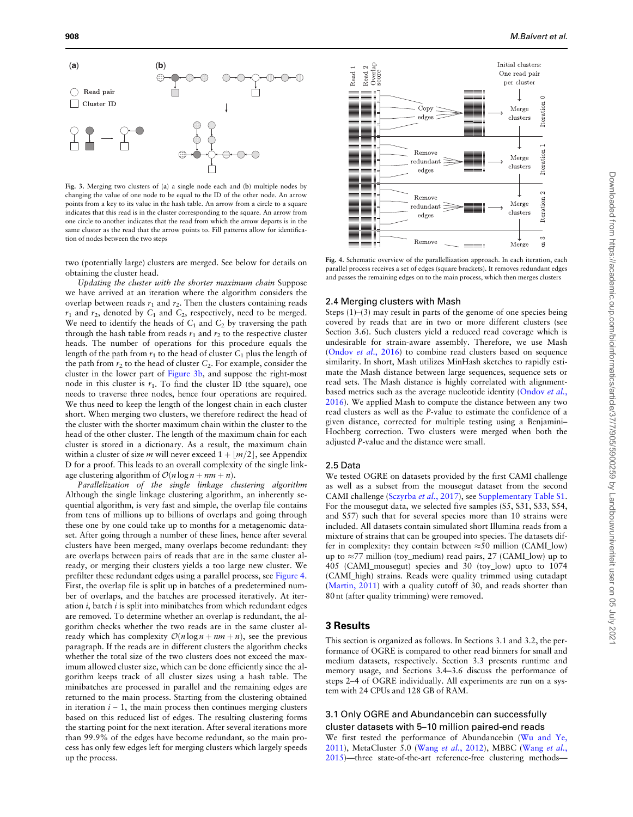<span id="page-3-0"></span>

Fig. 3. Merging two clusters of (a) a single node each and (b) multiple nodes by changing the value of one node to be equal to the ID of the other node. An arrow points from a key to its value in the hash table. An arrow from a circle to a square indicates that this read is in the cluster corresponding to the square. An arrow from one circle to another indicates that the read from which the arrow departs is in the same cluster as the read that the arrow points to. Fill patterns allow for identification of nodes between the two steps

two (potentially large) clusters are merged. See below for details on obtaining the cluster head.

Updating the cluster with the shorter maximum chain Suppose we have arrived at an iteration where the algorithm considers the overlap between reads  $r_1$  and  $r_2$ . Then the clusters containing reads  $r_1$  and  $r_2$ , denoted by  $C_1$  and  $C_2$ , respectively, need to be merged. We need to identify the heads of  $C_1$  and  $C_2$  by traversing the path through the hash table from reads  $r_1$  and  $r_2$  to the respective cluster heads. The number of operations for this procedure equals the length of the path from  $r_1$  to the head of cluster  $C_1$  plus the length of the path from  $r_2$  to the head of cluster  $C_2$ . For example, consider the cluster in the lower part of Figure 3b, and suppose the right-most node in this cluster is  $r_1$ . To find the cluster ID (the square), one needs to traverse three nodes, hence four operations are required. We thus need to keep the length of the longest chain in each cluster short. When merging two clusters, we therefore redirect the head of the cluster with the shorter maximum chain within the cluster to the head of the other cluster. The length of the maximum chain for each cluster is stored in a dictionary. As a result, the maximum chain within a cluster of size m will never exceed  $1+|m/2|$ , see Appendix D for a proof. This leads to an overall complexity of the single linkage clustering algorithm of  $O(n \log n + nm + n)$ .

Parallelization of the single linkage clustering algorithm Although the single linkage clustering algorithm, an inherently sequential algorithm, is very fast and simple, the overlap file contains from tens of millions up to billions of overlaps and going through these one by one could take up to months for a metagenomic dataset. After going through a number of these lines, hence after several clusters have been merged, many overlaps become redundant: they are overlaps between pairs of reads that are in the same cluster already, or merging their clusters yields a too large new cluster. We prefilter these redundant edges using a parallel process, see Figure 4. First, the overlap file is split up in batches of a predetermined number of overlaps, and the batches are processed iteratively. At iteration  $i$ , batch  $i$  is split into minibatches from which redundant edges are removed. To determine whether an overlap is redundant, the algorithm checks whether the two reads are in the same cluster already which has complexity  $O(n \log n + nm + n)$ , see the previous paragraph. If the reads are in different clusters the algorithm checks whether the total size of the two clusters does not exceed the maximum allowed cluster size, which can be done efficiently since the algorithm keeps track of all cluster sizes using a hash table. The minibatches are processed in parallel and the remaining edges are returned to the main process. Starting from the clustering obtained in iteration  $i - 1$ , the main process then continues merging clusters based on this reduced list of edges. The resulting clustering forms the starting point for the next iteration. After several iterations more than 99.9% of the edges have become redundant, so the main process has only few edges left for merging clusters which largely speeds up the process.



Fig. 4. Schematic overview of the parallellization approach. In each iteration, each parallel process receives a set of edges (square brackets). It removes redundant edges and passes the remaining edges on to the main process, which then merges clusters

#### 2.4 Merging clusters with Mash

Steps (1)–(3) may result in parts of the genome of one species being covered by reads that are in two or more different clusters (see Section 3.6). Such clusters yield a reduced read coverage which is undesirable for strain-aware assembly. Therefore, we use Mash (Ondov et al.[, 2016\)](#page-7-0) to combine read clusters based on sequence similarity. In short, Mash utilizes MinHash sketches to rapidly estimate the Mash distance between large sequences, sequence sets or read sets. The Mash distance is highly correlated with alignment-based metrics such as the average nucleotide identity [\(Ondov](#page-7-0) et al., [2016\)](#page-7-0). We applied Mash to compute the distance between any two read clusters as well as the P-value to estimate the confidence of a given distance, corrected for multiple testing using a Benjamini– Hochberg correction. Two clusters were merged when both the adjusted P-value and the distance were small.

#### 2.5 Data

We tested OGRE on datasets provided by the first CAMI challenge as well as a subset from the mousegut dataset from the second CAMI challenge [\(Sczyrba](#page-7-0) et al., 2017), see [Supplementary Table S1.](https://academic.oup.com/bioinformatics/article-lookup/doi/10.1093/bioinformatics/btaa760#supplementary-data) For the mousegut data, we selected five samples (S5, S31, S33, S54, and S57) such that for several species more than 10 strains were included. All datasets contain simulated short Illumina reads from a mixture of strains that can be grouped into species. The datasets differ in complexity: they contain between  $\approx 50$  million (CAMI\_low) up to  $\approx$ 77 million (toy\_medium) read pairs, 27 (CAMI\_low) up to 405 (CAMI\_mousegut) species and 30 (toy\_low) upto to 1074 (CAMI\_high) strains. Reads were quality trimmed using cutadapt ([Martin, 2011\)](#page-7-0) with a quality cutoff of 30, and reads shorter than 80 nt (after quality trimming) were removed.

#### 3 Results

This section is organized as follows. In Sections 3.1 and 3.2, the performance of OGRE is compared to other read binners for small and medium datasets, respectively. Section 3.3 presents runtime and memory usage, and Sections 3.4–3.6 discuss the performance of steps 2–4 of OGRE individually. All experiments are run on a system with 24 CPUs and 128 GB of RAM.

### 3.1 Only OGRE and Abundancebin can successfully cluster datasets with 5–10 million paired-end reads

We first tested the performance of Abundancebin ([Wu and Ye,](#page-7-0) [2011\)](#page-7-0), MetaCluster 5.0 (Wang et al.[, 2012](#page-7-0)), MBBC ([Wang](#page-7-0) et al., [2015\)](#page-7-0)—three state-of-the-art reference-free clustering methods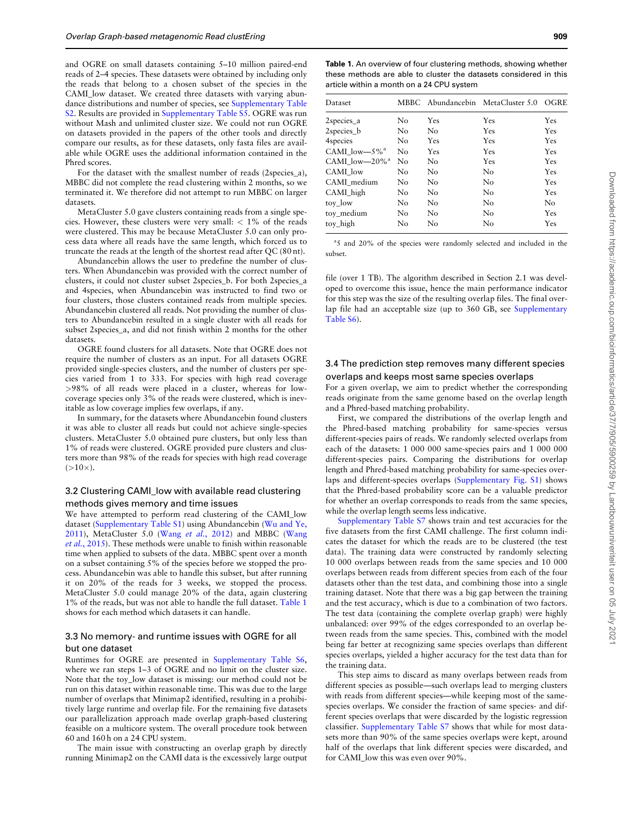and OGRE on small datasets containing 5–10 million paired-end reads of 2–4 species. These datasets were obtained by including only the reads that belong to a chosen subset of the species in the CAMI\_low dataset. We created three datasets with varying abundance distributions and number of species, see [Supplementary Table](https://academic.oup.com/bioinformatics/article-lookup/doi/10.1093/bioinformatics/btaa760#supplementary-data) [S2.](https://academic.oup.com/bioinformatics/article-lookup/doi/10.1093/bioinformatics/btaa760#supplementary-data) Results are provided in [Supplementary Table S5.](https://academic.oup.com/bioinformatics/article-lookup/doi/10.1093/bioinformatics/btaa760#supplementary-data) OGRE was run without Mash and unlimited cluster size. We could not run OGRE on datasets provided in the papers of the other tools and directly compare our results, as for these datasets, only fasta files are available while OGRE uses the additional information contained in the Phred scores.

For the dataset with the smallest number of reads (2species\_a), MBBC did not complete the read clustering within 2 months, so we terminated it. We therefore did not attempt to run MBBC on larger datasets.

MetaCluster 5.0 gave clusters containing reads from a single species. However, these clusters were very small:  $< 1\%$  of the reads were clustered. This may be because MetaCluster 5.0 can only process data where all reads have the same length, which forced us to truncate the reads at the length of the shortest read after QC (80 nt).

Abundancebin allows the user to predefine the number of clusters. When Abundancebin was provided with the correct number of clusters, it could not cluster subset 2species\_b. For both 2species\_a and 4species, when Abundancebin was instructed to find two or four clusters, those clusters contained reads from multiple species. Abundancebin clustered all reads. Not providing the number of clusters to Abundancebin resulted in a single cluster with all reads for subset 2species\_a, and did not finish within 2 months for the other datasets.

OGRE found clusters for all datasets. Note that OGRE does not require the number of clusters as an input. For all datasets OGRE provided single-species clusters, and the number of clusters per species varied from 1 to 333. For species with high read coverage >98% of all reads were placed in a cluster, whereas for lowcoverage species only 3% of the reads were clustered, which is inevitable as low coverage implies few overlaps, if any.

In summary, for the datasets where Abundancebin found clusters it was able to cluster all reads but could not achieve single-species clusters. MetaCluster 5.0 obtained pure clusters, but only less than 1% of reads were clustered. OGRE provided pure clusters and clusters more than 98% of the reads for species with high read coverage  $(>10\times).$ 

#### 3.2 Clustering CAMI\_low with available read clustering methods gives memory and time issues

We have attempted to perform read clustering of the CAMI\_low dataset [\(Supplementary Table S1](https://academic.oup.com/bioinformatics/article-lookup/doi/10.1093/bioinformatics/btaa760#supplementary-data)) using Abundancebin [\(Wu and Ye,](#page-7-0) [2011\)](#page-7-0), MetaCluster 5.0 (Wang et al.[, 2012\)](#page-7-0) and MBBC ([Wang](#page-7-0) et al.[, 2015\)](#page-7-0). These methods were unable to finish within reasonable time when applied to subsets of the data. MBBC spent over a month on a subset containing 5% of the species before we stopped the process. Abundancebin was able to handle this subset, but after running it on 20% of the reads for 3 weeks, we stopped the process. MetaCluster 5.0 could manage 20% of the data, again clustering 1% of the reads, but was not able to handle the full dataset. Table 1 shows for each method which datasets it can handle.

#### 3.3 No memory- and runtime issues with OGRE for all but one dataset

Runtimes for OGRE are presented in [Supplementary Table S6,](https://academic.oup.com/bioinformatics/article-lookup/doi/10.1093/bioinformatics/btaa760#supplementary-data) where we ran steps 1–3 of OGRE and no limit on the cluster size. Note that the toy\_low dataset is missing: our method could not be run on this dataset within reasonable time. This was due to the large number of overlaps that Minimap2 identified, resulting in a prohibitively large runtime and overlap file. For the remaining five datasets our parallelization approach made overlap graph-based clustering feasible on a multicore system. The overall procedure took between 60 and 160 h on a 24 CPU system.

The main issue with constructing an overlap graph by directly running Minimap2 on the CAMI data is the excessively large output

Table 1. An overview of four clustering methods, showing whether these methods are able to cluster the datasets considered in this article within a month on a 24 CPU system

| Dataset                       |    |     | MBBC Abundancebin MetaCluster 5.0 OGRE |     |
|-------------------------------|----|-----|----------------------------------------|-----|
| 2species_a                    | No | Yes | Yes                                    | Yes |
| 2species_b                    | No | No  | <b>Yes</b>                             | Yes |
| <b>4</b> species              | No | Yes | <b>Yes</b>                             | Yes |
| CAMI low- $5\%$ <sup>a</sup>  | No | Yes | <b>Yes</b>                             | Yes |
| CAMI low- $20\%$ <sup>a</sup> | No | No  | Yes                                    | Yes |
| CAMI_low                      | No | No  | No                                     | Yes |
| CAMI_medium                   | No | No  | No                                     | Yes |
| CAMI_high                     | No | No  | No                                     | Yes |
| toy_low                       | No | No  | No                                     | No  |
| toy_medium                    | No | No  | No                                     | Yes |
| toy_high                      | No | No  | No                                     | Yes |

<sup>a</sup>5 and 20% of the species were randomly selected and included in the subset.

file (over 1 TB). The algorithm described in Section 2.1 was developed to overcome this issue, hence the main performance indicator for this step was the size of the resulting overlap files. The final overlap file had an acceptable size (up to 360 GB, see [Supplementary](https://academic.oup.com/bioinformatics/article-lookup/doi/10.1093/bioinformatics/btaa760#supplementary-data) [Table S6](https://academic.oup.com/bioinformatics/article-lookup/doi/10.1093/bioinformatics/btaa760#supplementary-data)).

### 3.4 The prediction step removes many different species overlaps and keeps most same species overlaps

For a given overlap, we aim to predict whether the corresponding reads originate from the same genome based on the overlap length and a Phred-based matching probability.

First, we compared the distributions of the overlap length and the Phred-based matching probability for same-species versus different-species pairs of reads. We randomly selected overlaps from each of the datasets: 1 000 000 same-species pairs and 1 000 000 different-species pairs. Comparing the distributions for overlap length and Phred-based matching probability for same-species overlaps and different-species overlaps [\(Supplementary Fig. S1\)](https://academic.oup.com/bioinformatics/article-lookup/doi/10.1093/bioinformatics/btaa760#supplementary-data) shows that the Phred-based probability score can be a valuable predictor for whether an overlap corresponds to reads from the same species, while the overlap length seems less indicative.

[Supplementary Table S7](https://academic.oup.com/bioinformatics/article-lookup/doi/10.1093/bioinformatics/btaa760#supplementary-data) shows train and test accuracies for the five datasets from the first CAMI challenge. The first column indicates the dataset for which the reads are to be clustered (the test data). The training data were constructed by randomly selecting 10 000 overlaps between reads from the same species and 10 000 overlaps between reads from different species from each of the four datasets other than the test data, and combining those into a single training dataset. Note that there was a big gap between the training and the test accuracy, which is due to a combination of two factors. The test data (containing the complete overlap graph) were highly unbalanced: over 99% of the edges corresponded to an overlap between reads from the same species. This, combined with the model being far better at recognizing same species overlaps than different species overlaps, yielded a higher accuracy for the test data than for the training data.

This step aims to discard as many overlaps between reads from different species as possible—such overlaps lead to merging clusters with reads from different species—while keeping most of the samespecies overlaps. We consider the fraction of same species- and different species overlaps that were discarded by the logistic regression classifier. [Supplementary Table S7](https://academic.oup.com/bioinformatics/article-lookup/doi/10.1093/bioinformatics/btaa760#supplementary-data) shows that while for most datasets more than 90% of the same species overlaps were kept, around half of the overlaps that link different species were discarded, and for CAMI low this was even over 90%.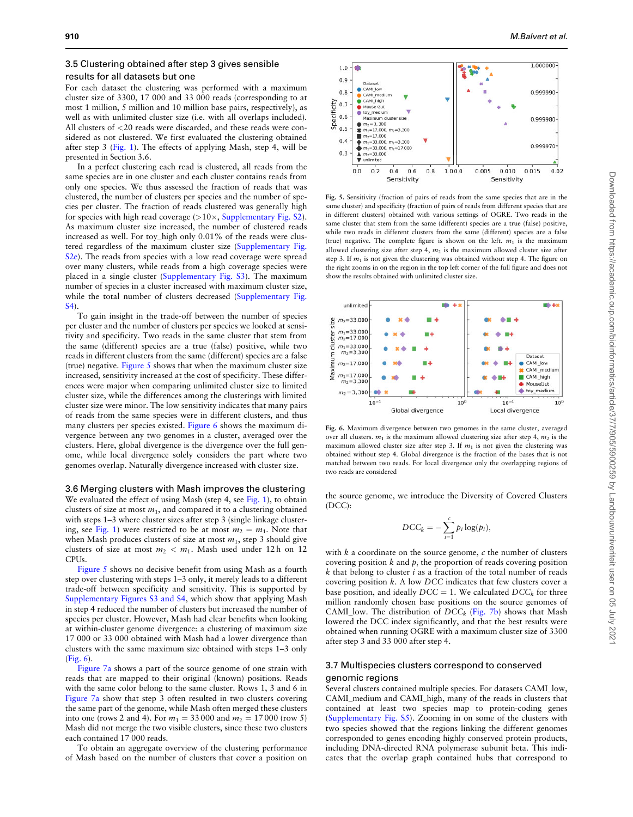#### <span id="page-5-0"></span>3.5 Clustering obtained after step 3 gives sensible results for all datasets but one

For each dataset the clustering was performed with a maximum cluster size of 3300, 17 000 and 33 000 reads (corresponding to at most 1 million, 5 million and 10 million base pairs, respectively), as well as with unlimited cluster size (i.e. with all overlaps included). All clusters of <20 reads were discarded, and these reads were considered as not clustered. We first evaluated the clustering obtained after step 3 [\(Fig. 1\)](#page-1-0). The effects of applying Mash, step 4, will be presented in Section 3.6.

In a perfect clustering each read is clustered, all reads from the same species are in one cluster and each cluster contains reads from only one species. We thus assessed the fraction of reads that was clustered, the number of clusters per species and the number of species per cluster. The fraction of reads clustered was generally high for species with high read coverage  $(>10\times,$  [Supplementary Fig. S2](https://academic.oup.com/bioinformatics/article-lookup/doi/10.1093/bioinformatics/btaa760#supplementary-data)). As maximum cluster size increased, the number of clustered reads increased as well. For toy\_high only 0.01% of the reads were clustered regardless of the maximum cluster size [\(Supplementary Fig.](https://academic.oup.com/bioinformatics/article-lookup/doi/10.1093/bioinformatics/btaa760#supplementary-data) [S2e](https://academic.oup.com/bioinformatics/article-lookup/doi/10.1093/bioinformatics/btaa760#supplementary-data)). The reads from species with a low read coverage were spread over many clusters, while reads from a high coverage species were placed in a single cluster ([Supplementary Fig. S3](https://academic.oup.com/bioinformatics/article-lookup/doi/10.1093/bioinformatics/btaa760#supplementary-data)). The maximum number of species in a cluster increased with maximum cluster size, while the total number of clusters decreased [\(Supplementary Fig.](https://academic.oup.com/bioinformatics/article-lookup/doi/10.1093/bioinformatics/btaa760#supplementary-data) [S4\)](https://academic.oup.com/bioinformatics/article-lookup/doi/10.1093/bioinformatics/btaa760#supplementary-data).

To gain insight in the trade-off between the number of species per cluster and the number of clusters per species we looked at sensitivity and specificity. Two reads in the same cluster that stem from the same (different) species are a true (false) positive, while two reads in different clusters from the same (different) species are a false (true) negative. Figure 5 shows that when the maximum cluster size increased, sensitivity increased at the cost of specificity. These differences were major when comparing unlimited cluster size to limited cluster size, while the differences among the clusterings with limited cluster size were minor. The low sensitivity indicates that many pairs of reads from the same species were in different clusters, and thus many clusters per species existed. Figure 6 shows the maximum divergence between any two genomes in a cluster, averaged over the clusters. Here, global divergence is the divergence over the full genome, while local divergence solely considers the part where two genomes overlap. Naturally divergence increased with cluster size.

3.6 Merging clusters with Mash improves the clustering We evaluated the effect of using Mash (step 4, see [Fig. 1](#page-1-0)), to obtain clusters of size at most  $m_1$ , and compared it to a clustering obtained with steps 1–3 where cluster sizes after step 3 (single linkage cluster-ing, see [Fig. 1](#page-1-0)) were restricted to be at most  $m_2 = m_1$ . Note that when Mash produces clusters of size at most  $m_1$ , step 3 should give clusters of size at most  $m_2 < m_1$ . Mash used under 12 h on 12 CPUs.

Figure 5 shows no decisive benefit from using Mash as a fourth step over clustering with steps 1–3 only, it merely leads to a different trade-off between specificity and sensitivity. This is supported by [Supplementary Figures S3 and S4,](https://academic.oup.com/bioinformatics/article-lookup/doi/10.1093/bioinformatics/btaa760#supplementary-data) which show that applying Mash in step 4 reduced the number of clusters but increased the number of species per cluster. However, Mash had clear benefits when looking at within-cluster genome divergence: a clustering of maximum size 17 000 or 33 000 obtained with Mash had a lower divergence than clusters with the same maximum size obtained with steps 1–3 only (Fig. 6).

[Figure 7a](#page-6-0) shows a part of the source genome of one strain with reads that are mapped to their original (known) positions. Reads with the same color belong to the same cluster. Rows 1, 3 and 6 in [Figure 7a](#page-6-0) show that step 3 often resulted in two clusters covering the same part of the genome, while Mash often merged these clusters into one (rows 2 and 4). For  $m_1 = 33000$  and  $m_2 = 17000$  (row 5) Mash did not merge the two visible clusters, since these two clusters each contained 17 000 reads.

To obtain an aggregate overview of the clustering performance of Mash based on the number of clusters that cover a position on



Fig. 5. Sensitivity (fraction of pairs of reads from the same species that are in the same cluster) and specificity (fraction of pairs of reads from different species that are in different clusters) obtained with various settings of OGRE. Two reads in the same cluster that stem from the same (different) species are a true (false) positive, while two reads in different clusters from the same (different) species are a false (true) negative. The complete figure is shown on the left.  $m_1$  is the maximum allowed clustering size after step 4,  $m_2$  is the maximum allowed cluster size after step 3. If  $m_1$  is not given the clustering was obtained without step 4. The figure on the right zooms in on the region in the top left corner of the full figure and does not show the results obtained with unlimited cluster size.



Fig. 6. Maximum divergence between two genomes in the same cluster, averaged over all clusters.  $m_1$  is the maximum allowed clustering size after step 4,  $m_2$  is the maximum allowed cluster size after step 3. If  $m_1$  is not given the clustering was obtained without step 4. Global divergence is the fraction of the bases that is not matched between two reads. For local divergence only the overlapping regions of two reads are considered

the source genome, we introduce the Diversity of Covered Clusters (DCC):

$$
DCC_k = -\sum_{i=1}^c p_i \log(p_i),
$$

with  $k$  a coordinate on the source genome,  $c$  the number of clusters covering position  $k$  and  $p_i$  the proportion of reads covering position  $k$  that belong to cluster  $i$  as a fraction of the total number of reads covering position k. A low DCC indicates that few clusters cover a base position, and ideally  $DCC = 1$ . We calculated  $DCC_k$  for three million randomly chosen base positions on the source genomes of CAMI\_low. The distribution of  $DCC_k$  [\(Fig. 7b](#page-6-0)) shows that Mash lowered the DCC index significantly, and that the best results were obtained when running OGRE with a maximum cluster size of 3300 after step 3 and 33 000 after step 4.

#### 3.7 Multispecies clusters correspond to conserved genomic regions

Several clusters contained multiple species. For datasets CAMI\_low, CAMI\_medium and CAMI\_high, many of the reads in clusters that contained at least two species map to protein-coding genes ([Supplementary Fig. S5](https://academic.oup.com/bioinformatics/article-lookup/doi/10.1093/bioinformatics/btaa760#supplementary-data)). Zooming in on some of the clusters with two species showed that the regions linking the different genomes corresponded to genes encoding highly conserved protein products, including DNA-directed RNA polymerase subunit beta. This indicates that the overlap graph contained hubs that correspond to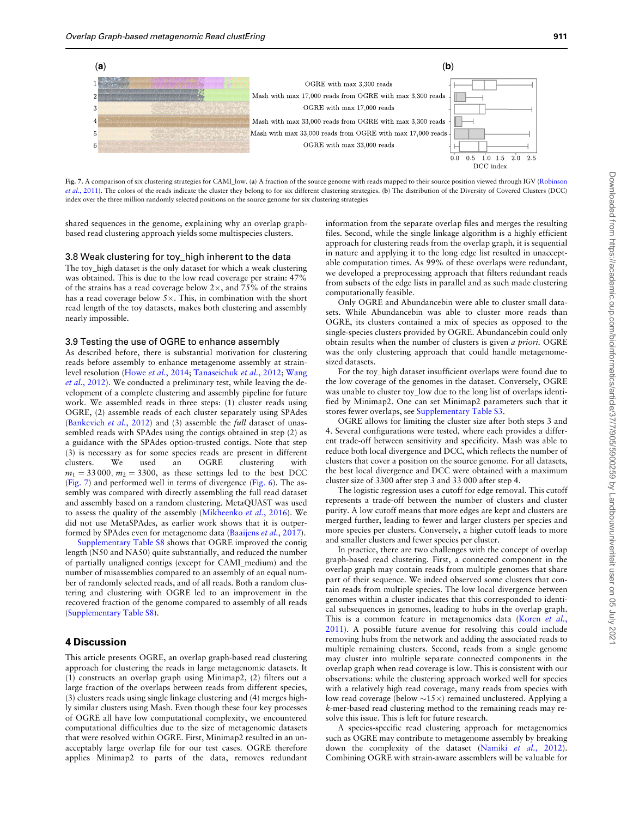<span id="page-6-0"></span>

Fig. 7. A comparison of six clustering strategies for CAMI\_low. (a) A fraction of the source genome with reads mapped to their source position viewed through IGV [\(Robinson](#page-7-0) et al.[, 2011](#page-7-0)). The colors of the reads indicate the cluster they belong to for six different clustering strategies. (b) The distribution of the Diversity of Covered Clusters (DCC) index over the three million randomly selected positions on the source genome for six clustering strategies

shared sequences in the genome, explaining why an overlap graphbased read clustering approach yields some multispecies clusters.

#### 3.8 Weak clustering for toy\_high inherent to the data

The toy\_high dataset is the only dataset for which a weak clustering was obtained. This is due to the low read coverage per strain: 47% of the strains has a read coverage below  $2 \times$ , and 75% of the strains has a read coverage below  $5 \times$ . This, in combination with the short read length of the toy datasets, makes both clustering and assembly nearly impossible.

#### 3.9 Testing the use of OGRE to enhance assembly

As described before, there is substantial motivation for clustering reads before assembly to enhance metagenome assembly at strainlevel resolution (Howe et al.[, 2014;](#page-7-0) [Tanaseichuk](#page-7-0) et al., 2012; [Wang](#page-7-0) et al.[, 2012](#page-7-0)). We conducted a preliminary test, while leaving the development of a complete clustering and assembly pipeline for future work. We assembled reads in three steps: (1) cluster reads using OGRE, (2) assemble reads of each cluster separately using SPAdes ([Bankevich](#page-7-0) et al., 2012) and (3) assemble the *full* dataset of unassembled reads with SPAdes using the contigs obtained in step (2) as a guidance with the SPAdes option-trusted contigs. Note that step (3) is necessary as for some species reads are present in different clusters. We used an OGRE clustering with  $m_1 = 33000$ ,  $m_2 = 3300$ , as these settings led to the best DCC (Fig. 7) and performed well in terms of divergence [\(Fig. 6\)](#page-5-0). The assembly was compared with directly assembling the full read dataset and assembly based on a random clustering. MetaQUAST was used to assess the quality of the assembly ([Mikheenko](#page-7-0) et al., 2016). We did not use MetaSPAdes, as earlier work shows that it is outperformed by SPAdes even for metagenome data [\(Baaijens](#page-7-0) et al., 2017).

[Supplementary Table S8](https://academic.oup.com/bioinformatics/article-lookup/doi/10.1093/bioinformatics/btaa760#supplementary-data) shows that OGRE improved the contig length (N50 and NA50) quite substantially, and reduced the number of partially unaligned contigs (except for CAMI\_medium) and the number of misassemblies compared to an assembly of an equal number of randomly selected reads, and of all reads. Both a random clustering and clustering with OGRE led to an improvement in the recovered fraction of the genome compared to assembly of all reads ([Supplementary Table S8](https://academic.oup.com/bioinformatics/article-lookup/doi/10.1093/bioinformatics/btaa760#supplementary-data)).

#### 4 Discussion

This article presents OGRE, an overlap graph-based read clustering approach for clustering the reads in large metagenomic datasets. It (1) constructs an overlap graph using Minimap2, (2) filters out a large fraction of the overlaps between reads from different species, (3) clusters reads using single linkage clustering and (4) merges highly similar clusters using Mash. Even though these four key processes of OGRE all have low computational complexity, we encountered computational difficulties due to the size of metagenomic datasets that were resolved within OGRE. First, Minimap2 resulted in an unacceptably large overlap file for our test cases. OGRE therefore applies Minimap2 to parts of the data, removes redundant information from the separate overlap files and merges the resulting files. Second, while the single linkage algorithm is a highly efficient approach for clustering reads from the overlap graph, it is sequential in nature and applying it to the long edge list resulted in unacceptable computation times. As 99% of these overlaps were redundant, we developed a preprocessing approach that filters redundant reads from subsets of the edge lists in parallel and as such made clustering computationally feasible.

Only OGRE and Abundancebin were able to cluster small datasets. While Abundancebin was able to cluster more reads than OGRE, its clusters contained a mix of species as opposed to the single-species clusters provided by OGRE. Abundancebin could only obtain results when the number of clusters is given a priori. OGRE was the only clustering approach that could handle metagenomesized datasets.

For the toy\_high dataset insufficient overlaps were found due to the low coverage of the genomes in the dataset. Conversely, OGRE was unable to cluster toy\_low due to the long list of overlaps identified by Minimap2. One can set Minimap2 parameters such that it stores fewer overlaps, see [Supplementary Table S3.](https://academic.oup.com/bioinformatics/article-lookup/doi/10.1093/bioinformatics/btaa760#supplementary-data)

OGRE allows for limiting the cluster size after both steps 3 and 4. Several configurations were tested, where each provides a different trade-off between sensitivity and specificity. Mash was able to reduce both local divergence and DCC, which reflects the number of clusters that cover a position on the source genome. For all datasets, the best local divergence and DCC were obtained with a maximum cluster size of 3300 after step 3 and 33 000 after step 4.

The logistic regression uses a cutoff for edge removal. This cutoff represents a trade-off between the number of clusters and cluster purity. A low cutoff means that more edges are kept and clusters are merged further, leading to fewer and larger clusters per species and more species per clusters. Conversely, a higher cutoff leads to more and smaller clusters and fewer species per cluster.

In practice, there are two challenges with the concept of overlap graph-based read clustering. First, a connected component in the overlap graph may contain reads from multiple genomes that share part of their sequence. We indeed observed some clusters that contain reads from multiple species. The low local divergence between genomes within a cluster indicates that this corresponded to identical subsequences in genomes, leading to hubs in the overlap graph. This is a common feature in metagenomics data [\(Koren](#page-7-0) et al., [2011\)](#page-7-0). A possible future avenue for resolving this could include removing hubs from the network and adding the associated reads to multiple remaining clusters. Second, reads from a single genome may cluster into multiple separate connected components in the overlap graph when read coverage is low. This is consistent with our observations: while the clustering approach worked well for species with a relatively high read coverage, many reads from species with low read coverage (below  $\sim$ 15 $\times$ ) remained unclustered. Applying a k-mer-based read clustering method to the remaining reads may resolve this issue. This is left for future research.

A species-specific read clustering approach for metagenomics such as OGRE may contribute to metagenome assembly by breaking down the complexity of the dataset [\(Namiki](#page-7-0) et al., 2012). Combining OGRE with strain-aware assemblers will be valuable for